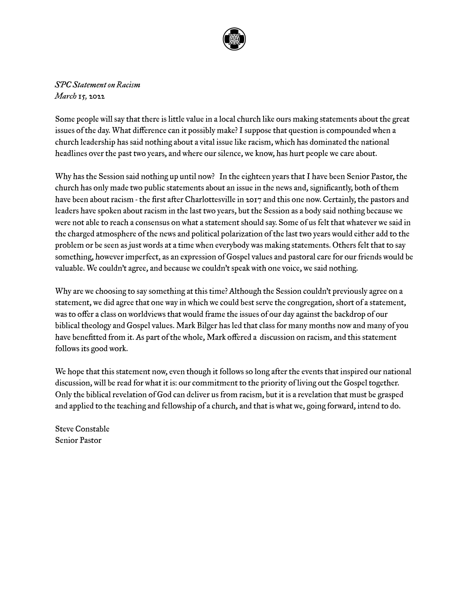

*SPC Statement on Racism March 15, 2022*

Some people will say that there is little value in a local church like ours making statements about the great issues of the day. What difference can it possibly make? I suppose that question is compounded when a church leadership has said nothing about a vital issue like racism, which has dominated the national headlines over the past two years, and where our silence, we know, has hurt people we care about.

Why has the Session said nothing up until now? In the eighteen years that I have been Senior Pastor, the church has only made two public statements about an issue in the news and, significantly, both of them have been about racism - the first after Charlottesville in 2017 and this one now. Certainly, the pastors and leaders have spoken about racism in the last two years, but the Session as a bodysaid nothing because we were not able to reach a consensus on what a statement should say. Some of us felt that whatever we said in the charged atmosphere of the news and political polarization of the last two years would either add to the problem or be seen as just words at a time when everybody was making statements. Others felt that to say something, however imperfect, as an expression of Gospel values and pastoral care for our friends would be valuable. We couldn't agree, and because we couldn't speak with one voice, we said nothing.

Why are we choosing to say something at this time? Although the Session couldn't previously agree on a statement, we did agree that one way in which we could best serve the congregation, short of a statement, was to offer a class on worldviews that would frame the issues of our day against the backdrop of our biblical theology and Gospel values. Mark Bilger has led that class for many months now and many of you have benefitted from it. As part of the whole, Mark offered a discussion on racism, and this statement follows its good work.

We hope that this statement now, even though it follows so long after the events that inspired our national discussion, will be read for what it is: our commitment to the priority of living out the Gospel together. Only the biblical revelation of God can deliver us from racism, but it is a revelation that must be grasped and applied to the teaching and fellowship of a church, and that is what we, going forward, intend to do.

Steve Constable Senior Pastor